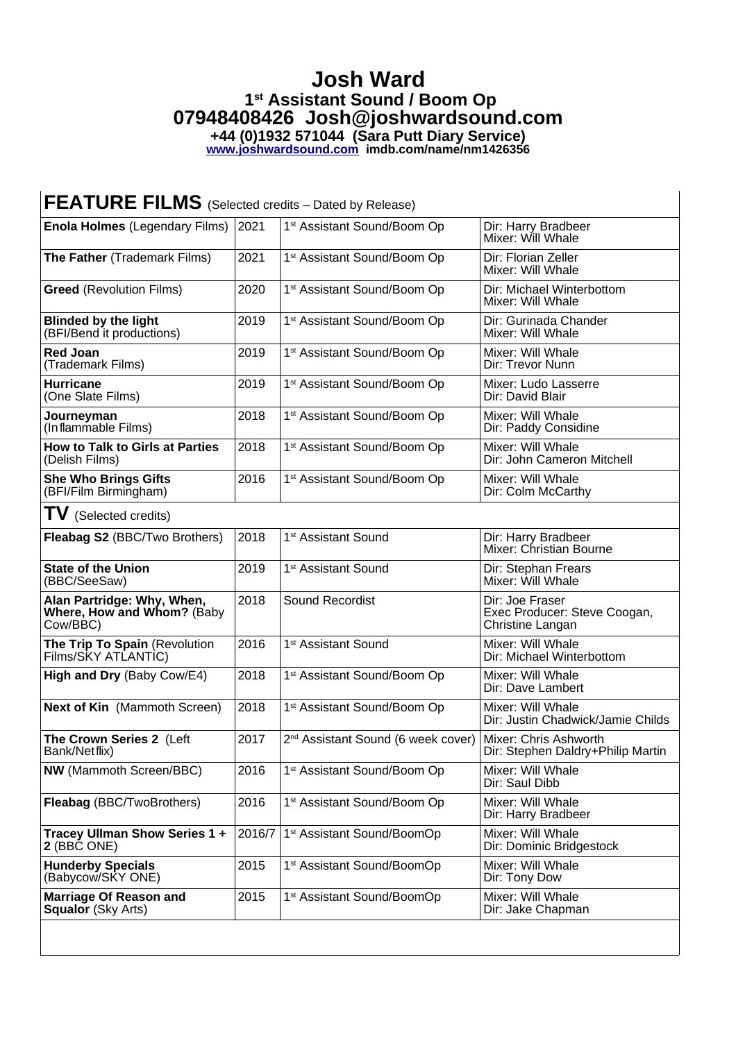## **Josh Ward 1st Assistant Sound / Boom Op 07948408426 Josh@joshwardsound.com +44 (0)1932 571044 (Sara Putt Diary Service)**

**[www.joshwardsound.com](http://www.joshwardsound.com/) imdb.com/name/nm1426356**

| <b>FEATURE FILMS</b> (Selected credits - Dated by Release)           |        |                                                                      |                                                                     |  |  |
|----------------------------------------------------------------------|--------|----------------------------------------------------------------------|---------------------------------------------------------------------|--|--|
| <b>Enola Holmes (Legendary Films)</b>                                | 2021   | 1 <sup>st</sup> Assistant Sound/Boom Op                              | Dir: Harry Bradbeer<br>Mixer: Will Whale                            |  |  |
| The Father (Trademark Films)                                         | 2021   | 1 <sup>st</sup> Assistant Sound/Boom Op                              | Dir: Florian Zeller<br>Mixer: Will Whale                            |  |  |
| <b>Greed</b> (Revolution Films)                                      | 2020   | 1 <sup>st</sup> Assistant Sound/Boom Op                              | Dir: Michael Winterbottom<br>Mixer: Will Whale                      |  |  |
| <b>Blinded by the light</b><br>(BFI/Bend it productions)             | 2019   | 1 <sup>st</sup> Assistant Sound/Boom Op                              | Dir: Gurinada Chander<br>Mixer: Will Whale                          |  |  |
| <b>Red Joan</b><br>(Trademark Films)                                 | 2019   | 1 <sup>st</sup> Assistant Sound/Boom Op                              | Mixer: Will Whale<br>Dir: Trevor Nunn                               |  |  |
| <b>Hurricane</b><br>(One Slate Films)                                | 2019   | 1 <sup>st</sup> Assistant Sound/Boom Op                              | Mixer: Ludo Lasserre<br>Dir: David Blair                            |  |  |
| Journeyman<br>(Inflammable Films)                                    | 2018   | 1 <sup>st</sup> Assistant Sound/Boom Op                              | Mixer: Will Whale<br>Dir: Paddy Considine                           |  |  |
| <b>How to Talk to Girls at Parties</b><br>(Delish Films)             | 2018   | 1 <sup>st</sup> Assistant Sound/Boom Op                              | Mixer: Will Whale<br>Dir: John Cameron Mitchell                     |  |  |
| <b>She Who Brings Gifts</b><br>(BFI/Film Birmingham)                 | 2016   | 1 <sup>st</sup> Assistant Sound/Boom Op                              | Mixer: Will Whale<br>Dir: Colm McCarthy                             |  |  |
| $TV$ (Selected credits)                                              |        |                                                                      |                                                                     |  |  |
| Fleabag S2 (BBC/Two Brothers)                                        | 2018   | 1 <sup>st</sup> Assistant Sound                                      | Dir: Harry Bradbeer<br>Mixer: Christian Bourne                      |  |  |
| <b>State of the Union</b><br>(BBC/SeeSaw)                            | 2019   | 1 <sup>st</sup> Assistant Sound                                      | Dir: Stephan Frears<br>Mixer: Will Whale                            |  |  |
| Alan Partridge: Why, When,<br>Where, How and Whom? (Baby<br>Cow/BBC) | 2018   | Sound Recordist                                                      | Dir: Joe Fraser<br>Exec Producer: Steve Coogan,<br>Christine Langan |  |  |
| The Trip To Spain (Revolution<br>Films/SKY ATLANTIC)                 | 2016   | 1 <sup>st</sup> Assistant Sound                                      | Mixer: Will Whale<br>Dir: Michael Winterbottom                      |  |  |
| High and Dry (Baby Cow/E4)                                           | 2018   | 1 <sup>st</sup> Assistant Sound/Boom Op                              | Mixer: Will Whale<br>Dir: Dave Lambert                              |  |  |
| <b>Next of Kin</b> (Mammoth Screen)                                  | 2018   | 1 <sup>st</sup> Assistant Sound/Boom Op                              | Mixer: Will Whale<br>Dir: Justin Chadwick/Jamie Childs              |  |  |
| The Crown Series 2 (Left<br>Bank/Netflix)                            | 2017   | 2 <sup>nd</sup> Assistant Sound (6 week cover) Mixer: Chris Ashworth | Dir: Stephen Daldry+Philip Martin                                   |  |  |
| <b>NW</b> (Mammoth Screen/BBC)                                       | 2016   | 1st Assistant Sound/Boom Op                                          | Mixer: Will Whale<br>Dir: Saul Dibb                                 |  |  |
| Fleabag (BBC/TwoBrothers)                                            | 2016   | 1 <sup>st</sup> Assistant Sound/Boom Op                              | Mixer: Will Whale<br>Dir: Harry Bradbeer                            |  |  |
| Tracey Ullman Show Series 1 +<br>2 (BBC ONE)                         | 2016/7 | 1 <sup>st</sup> Assistant Sound/BoomOp                               | Mixer: Will Whale<br>Dir: Dominic Bridgestock                       |  |  |
| <b>Hunderby Specials</b><br>(Babycow/SKY ONE)                        | 2015   | 1 <sup>st</sup> Assistant Sound/BoomOp                               | Mixer: Will Whale<br>Dir: Tony Dow                                  |  |  |
| Marriage Of Reason and<br><b>Squalor</b> (Sky Arts)                  | 2015   | 1 <sup>st</sup> Assistant Sound/BoomOp                               | Mixer: Will Whale<br>Dir: Jake Chapman                              |  |  |
|                                                                      |        |                                                                      |                                                                     |  |  |